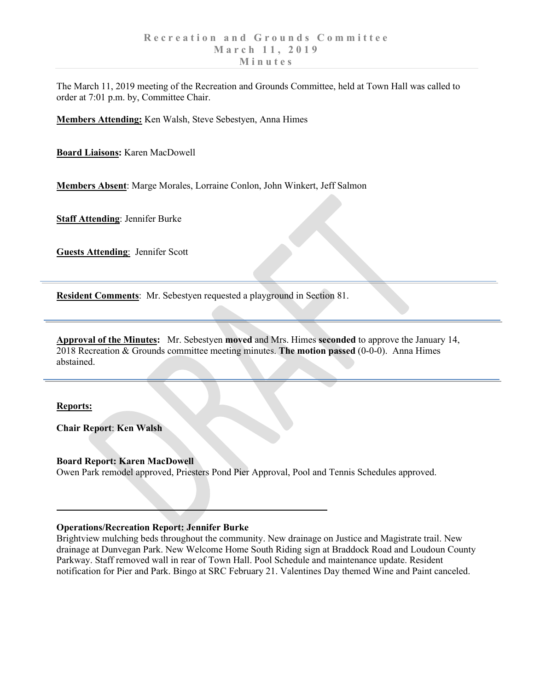The March 11, 2019 meeting of the Recreation and Grounds Committee, held at Town Hall was called to order at 7:01 p.m. by, Committee Chair.

**Members Attending:** Ken Walsh, Steve Sebestyen, Anna Himes

**Board Liaisons:** Karen MacDowell

**Members Absent**: Marge Morales, Lorraine Conlon, John Winkert, Jeff Salmon

**Staff Attending**: Jennifer Burke

**Guests Attending**: Jennifer Scott

**Resident Comments**: Mr. Sebestyen requested a playground in Section 81.

**Approval of the Minutes:** Mr. Sebestyen **moved** and Mrs. Himes **seconded** to approve the January 14, 2018 Recreation & Grounds committee meeting minutes. **The motion passed** (0-0-0). Anna Himes abstained.

### **Reports:**

**Chair Report**: **Ken Walsh**

### **Board Report: Karen MacDowell**

Owen Park remodel approved, Priesters Pond Pier Approval, Pool and Tennis Schedules approved.

### **Operations/Recreation Report: Jennifer Burke**

Brightview mulching beds throughout the community. New drainage on Justice and Magistrate trail. New drainage at Dunvegan Park. New Welcome Home South Riding sign at Braddock Road and Loudoun County Parkway. Staff removed wall in rear of Town Hall. Pool Schedule and maintenance update. Resident notification for Pier and Park. Bingo at SRC February 21. Valentines Day themed Wine and Paint canceled.